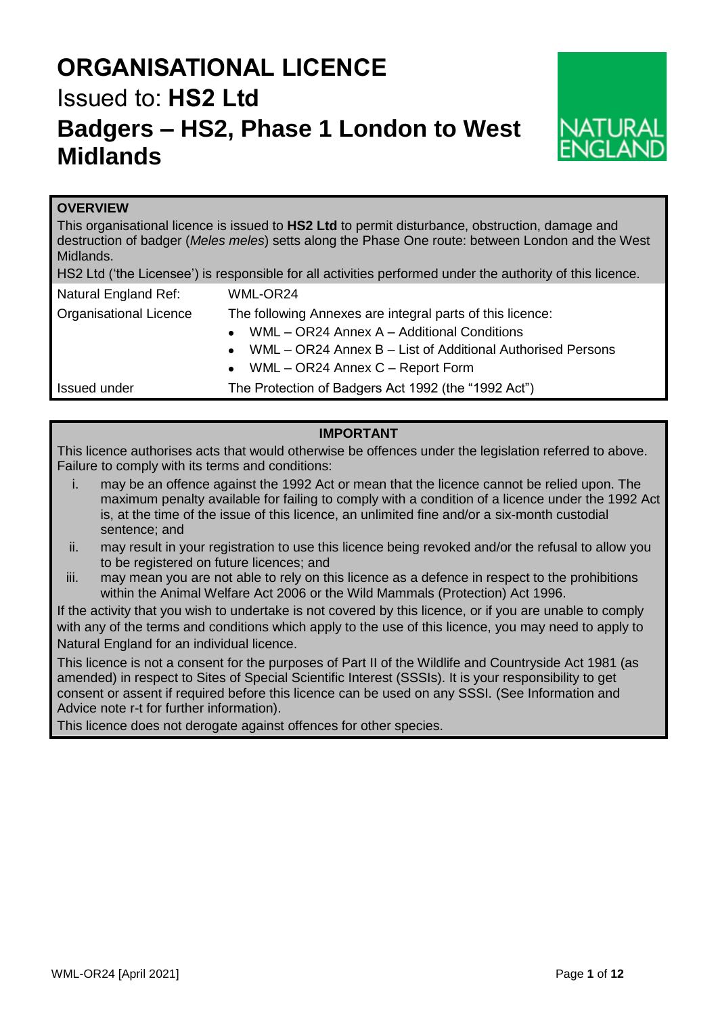# **ORGANISATIONAL LICENCE** Issued to: **HS2 Ltd Badgers – HS2, Phase 1 London to West Midlands**



## **OVERVIEW**

This organisational licence is issued to **HS2 Ltd** to permit disturbance, obstruction, damage and destruction of badger (*Meles meles*) setts along the Phase One route: between London and the West Midlands.

| Natural England Ref:          | WML-OR24                                                                |  |
|-------------------------------|-------------------------------------------------------------------------|--|
| <b>Organisational Licence</b> | The following Annexes are integral parts of this licence:               |  |
|                               | WML - OR24 Annex A - Additional Conditions<br>$\bullet$                 |  |
|                               | WML - OR24 Annex B - List of Additional Authorised Persons<br>$\bullet$ |  |
|                               | WML - OR24 Annex C - Report Form<br>$\bullet$                           |  |
| Issued under                  | The Protection of Badgers Act 1992 (the "1992 Act")                     |  |

## **IMPORTANT**

This licence authorises acts that would otherwise be offences under the legislation referred to above. Failure to comply with its terms and conditions:

- i. may be an offence against the 1992 Act or mean that the licence cannot be relied upon. The maximum penalty available for failing to comply with a condition of a licence under the 1992 Act is, at the time of the issue of this licence, an unlimited fine and/or a six-month custodial sentence; and
- ii. may result in your registration to use this licence being revoked and/or the refusal to allow you to be registered on future licences; and
- iii. may mean you are not able to rely on this licence as a defence in respect to the prohibitions within the Animal Welfare Act 2006 or the Wild Mammals (Protection) Act 1996.

If the activity that you wish to undertake is not covered by this licence, or if you are unable to comply with any of the terms and conditions which apply to the use of this licence, you may need to apply to Natural England for an individual licence.

This licence is not a consent for the purposes of Part II of the Wildlife and Countryside Act 1981 (as amended) in respect to Sites of Special Scientific Interest (SSSIs). It is your responsibility to get consent or assent if required before this licence can be used on any SSSI. (See Information and Advice note r-t for further information).

This licence does not derogate against offences for other species.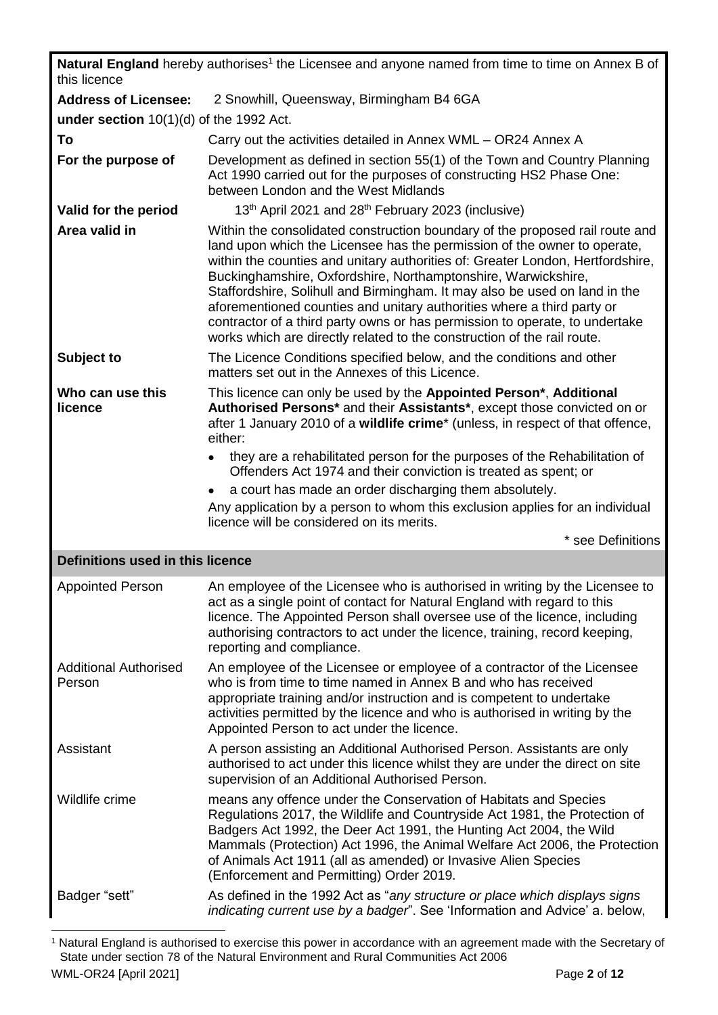| Natural England hereby authorises <sup>1</sup> the Licensee and anyone named from time to time on Annex B of<br>this licence |                                                                                                                                                                                                                                                                                                                                                                                                                                                                                                                                                                                                                               |  |  |  |
|------------------------------------------------------------------------------------------------------------------------------|-------------------------------------------------------------------------------------------------------------------------------------------------------------------------------------------------------------------------------------------------------------------------------------------------------------------------------------------------------------------------------------------------------------------------------------------------------------------------------------------------------------------------------------------------------------------------------------------------------------------------------|--|--|--|
| <b>Address of Licensee:</b>                                                                                                  | 2 Snowhill, Queensway, Birmingham B4 6GA                                                                                                                                                                                                                                                                                                                                                                                                                                                                                                                                                                                      |  |  |  |
| under section $10(1)(d)$ of the 1992 Act.                                                                                    |                                                                                                                                                                                                                                                                                                                                                                                                                                                                                                                                                                                                                               |  |  |  |
| To                                                                                                                           | Carry out the activities detailed in Annex WML - OR24 Annex A                                                                                                                                                                                                                                                                                                                                                                                                                                                                                                                                                                 |  |  |  |
| For the purpose of                                                                                                           | Development as defined in section 55(1) of the Town and Country Planning<br>Act 1990 carried out for the purposes of constructing HS2 Phase One:<br>between London and the West Midlands                                                                                                                                                                                                                                                                                                                                                                                                                                      |  |  |  |
| Valid for the period                                                                                                         | 13th April 2021 and 28th February 2023 (inclusive)                                                                                                                                                                                                                                                                                                                                                                                                                                                                                                                                                                            |  |  |  |
| Area valid in                                                                                                                | Within the consolidated construction boundary of the proposed rail route and<br>land upon which the Licensee has the permission of the owner to operate,<br>within the counties and unitary authorities of: Greater London, Hertfordshire,<br>Buckinghamshire, Oxfordshire, Northamptonshire, Warwickshire,<br>Staffordshire, Solihull and Birmingham. It may also be used on land in the<br>aforementioned counties and unitary authorities where a third party or<br>contractor of a third party owns or has permission to operate, to undertake<br>works which are directly related to the construction of the rail route. |  |  |  |
| Subject to                                                                                                                   | The Licence Conditions specified below, and the conditions and other<br>matters set out in the Annexes of this Licence.                                                                                                                                                                                                                                                                                                                                                                                                                                                                                                       |  |  |  |
| Who can use this<br>licence                                                                                                  | This licence can only be used by the Appointed Person*, Additional<br>Authorised Persons* and their Assistants*, except those convicted on or<br>after 1 January 2010 of a wildlife crime <sup>*</sup> (unless, in respect of that offence,<br>either:                                                                                                                                                                                                                                                                                                                                                                        |  |  |  |
|                                                                                                                              | they are a rehabilitated person for the purposes of the Rehabilitation of<br>Offenders Act 1974 and their conviction is treated as spent; or                                                                                                                                                                                                                                                                                                                                                                                                                                                                                  |  |  |  |
|                                                                                                                              | a court has made an order discharging them absolutely.<br>Any application by a person to whom this exclusion applies for an individual                                                                                                                                                                                                                                                                                                                                                                                                                                                                                        |  |  |  |
|                                                                                                                              | licence will be considered on its merits.                                                                                                                                                                                                                                                                                                                                                                                                                                                                                                                                                                                     |  |  |  |
|                                                                                                                              | * see Definitions                                                                                                                                                                                                                                                                                                                                                                                                                                                                                                                                                                                                             |  |  |  |
| Definitions used in this licence                                                                                             |                                                                                                                                                                                                                                                                                                                                                                                                                                                                                                                                                                                                                               |  |  |  |
| <b>Appointed Person</b>                                                                                                      | An employee of the Licensee who is authorised in writing by the Licensee to<br>act as a single point of contact for Natural England with regard to this<br>licence. The Appointed Person shall oversee use of the licence, including<br>authorising contractors to act under the licence, training, record keeping,<br>reporting and compliance.                                                                                                                                                                                                                                                                              |  |  |  |
| <b>Additional Authorised</b><br>Person                                                                                       | An employee of the Licensee or employee of a contractor of the Licensee<br>who is from time to time named in Annex B and who has received<br>appropriate training and/or instruction and is competent to undertake<br>activities permitted by the licence and who is authorised in writing by the<br>Appointed Person to act under the licence.                                                                                                                                                                                                                                                                               |  |  |  |
| Assistant                                                                                                                    | A person assisting an Additional Authorised Person. Assistants are only<br>authorised to act under this licence whilst they are under the direct on site<br>supervision of an Additional Authorised Person.                                                                                                                                                                                                                                                                                                                                                                                                                   |  |  |  |
| Wildlife crime                                                                                                               | means any offence under the Conservation of Habitats and Species<br>Regulations 2017, the Wildlife and Countryside Act 1981, the Protection of<br>Badgers Act 1992, the Deer Act 1991, the Hunting Act 2004, the Wild<br>Mammals (Protection) Act 1996, the Animal Welfare Act 2006, the Protection<br>of Animals Act 1911 (all as amended) or Invasive Alien Species<br>(Enforcement and Permitting) Order 2019.                                                                                                                                                                                                             |  |  |  |
| Badger "sett"                                                                                                                | As defined in the 1992 Act as "any structure or place which displays signs<br>indicating current use by a badger". See 'Information and Advice' a. below,                                                                                                                                                                                                                                                                                                                                                                                                                                                                     |  |  |  |

l <sup>1</sup> Natural England is authorised to exercise this power in accordance with an agreement made with the Secretary of State under section 78 of the Natural Environment and Rural Communities Act 2006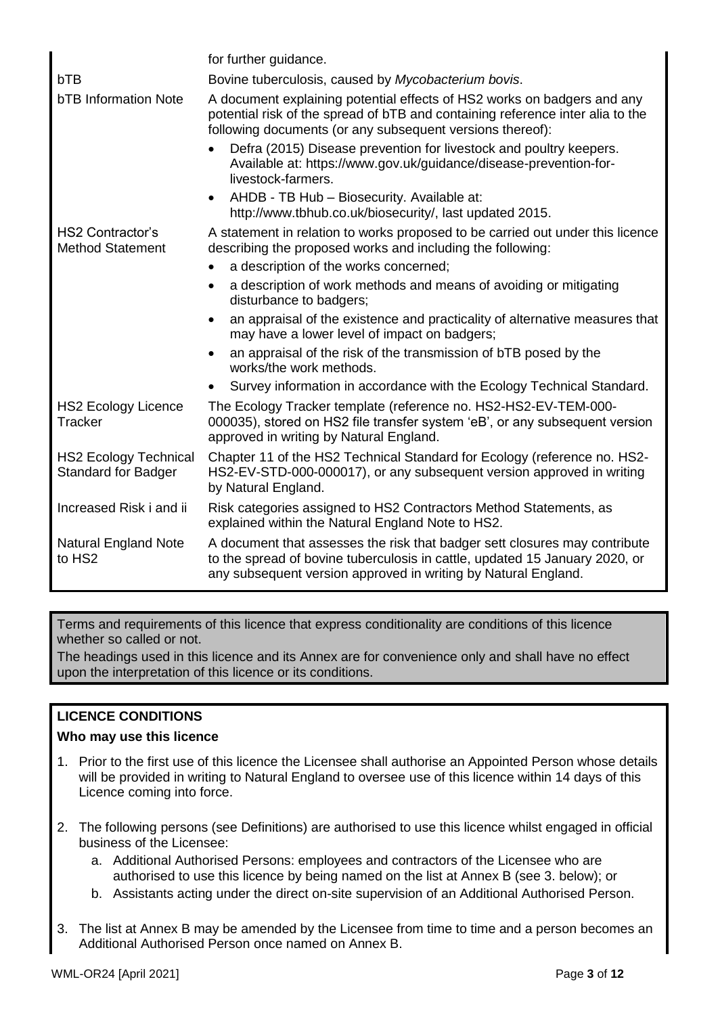|                                                            | for further guidance.                                                                                                                                                                                                       |  |  |
|------------------------------------------------------------|-----------------------------------------------------------------------------------------------------------------------------------------------------------------------------------------------------------------------------|--|--|
| bTB                                                        | Bovine tuberculosis, caused by Mycobacterium bovis.                                                                                                                                                                         |  |  |
| <b>bTB Information Note</b>                                | A document explaining potential effects of HS2 works on badgers and any<br>potential risk of the spread of bTB and containing reference inter alia to the<br>following documents (or any subsequent versions thereof):      |  |  |
|                                                            | Defra (2015) Disease prevention for livestock and poultry keepers.<br>$\bullet$<br>Available at: https://www.gov.uk/guidance/disease-prevention-for-<br>livestock-farmers.                                                  |  |  |
|                                                            | AHDB - TB Hub - Biosecurity. Available at:<br>$\bullet$<br>http://www.tbhub.co.uk/biosecurity/, last updated 2015.                                                                                                          |  |  |
| <b>HS2 Contractor's</b><br><b>Method Statement</b>         | A statement in relation to works proposed to be carried out under this licence<br>describing the proposed works and including the following:                                                                                |  |  |
|                                                            | a description of the works concerned;<br>$\bullet$                                                                                                                                                                          |  |  |
|                                                            | a description of work methods and means of avoiding or mitigating<br>٠<br>disturbance to badgers;                                                                                                                           |  |  |
|                                                            | an appraisal of the existence and practicality of alternative measures that<br>$\bullet$<br>may have a lower level of impact on badgers;                                                                                    |  |  |
|                                                            | an appraisal of the risk of the transmission of bTB posed by the<br>$\bullet$<br>works/the work methods.                                                                                                                    |  |  |
|                                                            | Survey information in accordance with the Ecology Technical Standard.<br>$\bullet$                                                                                                                                          |  |  |
| <b>HS2 Ecology Licence</b><br>Tracker                      | The Ecology Tracker template (reference no. HS2-HS2-EV-TEM-000-<br>000035), stored on HS2 file transfer system 'eB', or any subsequent version<br>approved in writing by Natural England.                                   |  |  |
| <b>HS2 Ecology Technical</b><br><b>Standard for Badger</b> | Chapter 11 of the HS2 Technical Standard for Ecology (reference no. HS2-<br>HS2-EV-STD-000-000017), or any subsequent version approved in writing<br>by Natural England.                                                    |  |  |
| Increased Risk i and ii                                    | Risk categories assigned to HS2 Contractors Method Statements, as<br>explained within the Natural England Note to HS2.                                                                                                      |  |  |
| <b>Natural England Note</b><br>to HS2                      | A document that assesses the risk that badger sett closures may contribute<br>to the spread of bovine tuberculosis in cattle, updated 15 January 2020, or<br>any subsequent version approved in writing by Natural England. |  |  |

Terms and requirements of this licence that express conditionality are conditions of this licence whether so called or not.

The headings used in this licence and its Annex are for convenience only and shall have no effect upon the interpretation of this licence or its conditions.

## **LICENCE CONDITIONS**

## **Who may use this licence**

- 1. Prior to the first use of this licence the Licensee shall authorise an Appointed Person whose details will be provided in writing to Natural England to oversee use of this licence within 14 days of this Licence coming into force.
- 2. The following persons (see Definitions) are authorised to use this licence whilst engaged in official business of the Licensee:
	- a. Additional Authorised Persons: employees and contractors of the Licensee who are authorised to use this licence by being named on the list at Annex B (see 3. below); or
	- b. Assistants acting under the direct on-site supervision of an Additional Authorised Person.
- 3. The list at Annex B may be amended by the Licensee from time to time and a person becomes an Additional Authorised Person once named on Annex B.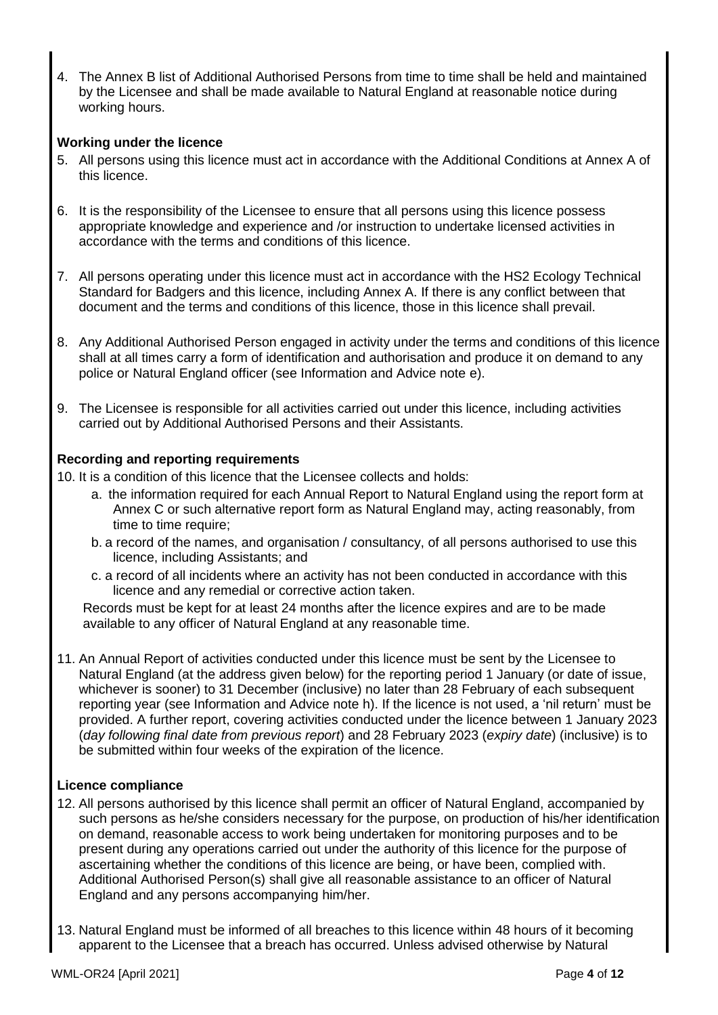4. The Annex B list of Additional Authorised Persons from time to time shall be held and maintained by the Licensee and shall be made available to Natural England at reasonable notice during working hours.

## **Working under the licence**

- 5. All persons using this licence must act in accordance with the Additional Conditions at Annex A of this licence.
- 6. It is the responsibility of the Licensee to ensure that all persons using this licence possess appropriate knowledge and experience and /or instruction to undertake licensed activities in accordance with the terms and conditions of this licence.
- 7. All persons operating under this licence must act in accordance with the HS2 Ecology Technical Standard for Badgers and this licence, including Annex A. If there is any conflict between that document and the terms and conditions of this licence, those in this licence shall prevail.
- 8. Any Additional Authorised Person engaged in activity under the terms and conditions of this licence shall at all times carry a form of identification and authorisation and produce it on demand to any police or Natural England officer (see Information and Advice note e).
- 9. The Licensee is responsible for all activities carried out under this licence, including activities carried out by Additional Authorised Persons and their Assistants.

## **Recording and reporting requirements**

10. It is a condition of this licence that the Licensee collects and holds:

- a. the information required for each Annual Report to Natural England using the report form at Annex C or such alternative report form as Natural England may, acting reasonably, from time to time require:
- b. a record of the names, and organisation / consultancy, of all persons authorised to use this licence, including Assistants; and
- c. a record of all incidents where an activity has not been conducted in accordance with this licence and any remedial or corrective action taken.

Records must be kept for at least 24 months after the licence expires and are to be made available to any officer of Natural England at any reasonable time.

11. An Annual Report of activities conducted under this licence must be sent by the Licensee to Natural England (at the address given below) for the reporting period 1 January (or date of issue, whichever is sooner) to 31 December (inclusive) no later than 28 February of each subsequent reporting year (see Information and Advice note h). If the licence is not used, a 'nil return' must be provided. A further report, covering activities conducted under the licence between 1 January 2023 (*day following final date from previous report*) and 28 February 2023 (*expiry date*) (inclusive) is to be submitted within four weeks of the expiration of the licence.

## **Licence compliance**

- 12. All persons authorised by this licence shall permit an officer of Natural England, accompanied by such persons as he/she considers necessary for the purpose, on production of his/her identification on demand, reasonable access to work being undertaken for monitoring purposes and to be present during any operations carried out under the authority of this licence for the purpose of ascertaining whether the conditions of this licence are being, or have been, complied with. Additional Authorised Person(s) shall give all reasonable assistance to an officer of Natural England and any persons accompanying him/her.
- 13. Natural England must be informed of all breaches to this licence within 48 hours of it becoming apparent to the Licensee that a breach has occurred. Unless advised otherwise by Natural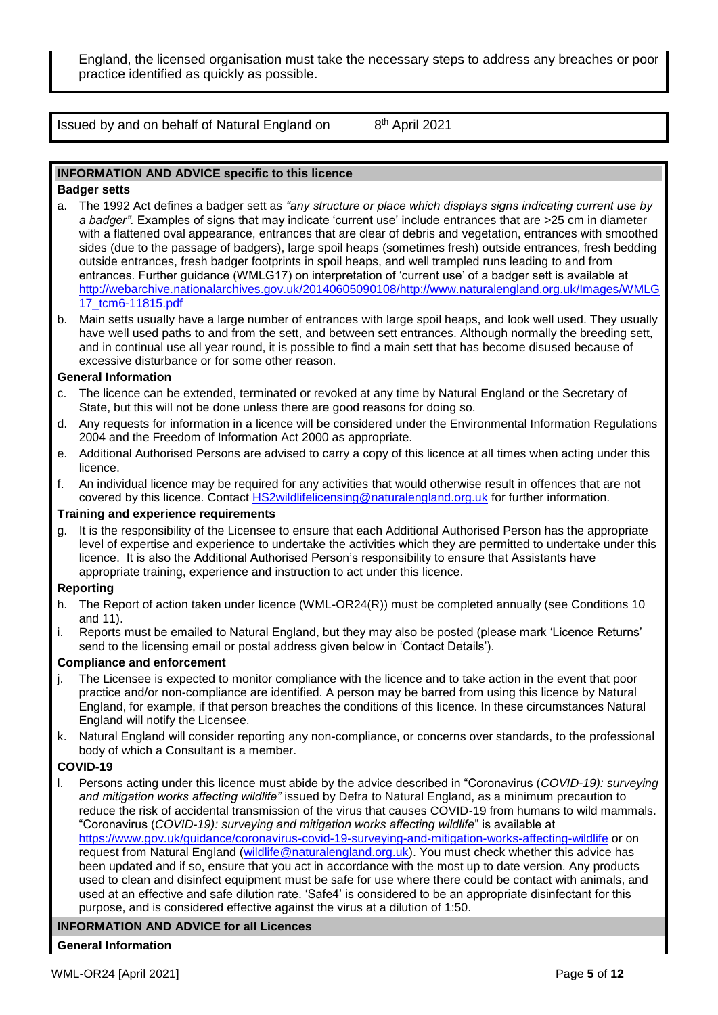England, the licensed organisation must take the necessary steps to address any breaches or poor practice identified as quickly as possible.

Issued by and on behalf of Natural England on 8

### 8<sup>th</sup> April 2021

#### **INFORMATION AND ADVICE specific to this licence**

#### **Badger setts**

- a. The 1992 Act defines a badger sett as *"any structure or place which displays signs indicating current use by a badger".* Examples of signs that may indicate 'current use' include entrances that are >25 cm in diameter with a flattened oval appearance, entrances that are clear of debris and vegetation, entrances with smoothed sides (due to the passage of badgers), large spoil heaps (sometimes fresh) outside entrances, fresh bedding outside entrances, fresh badger footprints in spoil heaps, and well trampled runs leading to and from entrances. Further guidance (WMLG17) on interpretation of 'current use' of a badger sett is available at [http://webarchive.nationalarchives.gov.uk/20140605090108/http://www.naturalengland.org.uk/Images/WMLG](http://webarchive.nationalarchives.gov.uk/20140605090108/http:/www.naturalengland.org.uk/Images/WMLG17_tcm6-11815.pdf) [17\\_tcm6-11815.pdf](http://webarchive.nationalarchives.gov.uk/20140605090108/http:/www.naturalengland.org.uk/Images/WMLG17_tcm6-11815.pdf)
- b. Main setts usually have a large number of entrances with large spoil heaps, and look well used. They usually have well used paths to and from the sett, and between sett entrances. Although normally the breeding sett, and in continual use all year round, it is possible to find a main sett that has become disused because of excessive disturbance or for some other reason.

#### **General Information**

- c. The licence can be extended, terminated or revoked at any time by Natural England or the Secretary of State, but this will not be done unless there are good reasons for doing so.
- d. Any requests for information in a licence will be considered under the Environmental Information Regulations 2004 and the Freedom of Information Act 2000 as appropriate.
- e. Additional Authorised Persons are advised to carry a copy of this licence at all times when acting under this licence.
- f. An individual licence may be required for any activities that would otherwise result in offences that are not covered by this licence. Contact [HS2wildlifelicensing@naturalengland.org.uk](mailto:HS2wildlifelicensing@naturalengland.org.uk) for further information.

#### **Training and experience requirements**

g. It is the responsibility of the Licensee to ensure that each Additional Authorised Person has the appropriate level of expertise and experience to undertake the activities which they are permitted to undertake under this licence. It is also the Additional Authorised Person's responsibility to ensure that Assistants have appropriate training, experience and instruction to act under this licence.

#### **Reporting**

- h. The Report of action taken under licence (WML-OR24(R)) must be completed annually (see Conditions 10 and 11).
- i. Reports must be emailed to Natural England, but they may also be posted (please mark 'Licence Returns' send to the licensing email or postal address given below in 'Contact Details').

#### **Compliance and enforcement**

- The Licensee is expected to monitor compliance with the licence and to take action in the event that poor practice and/or non-compliance are identified. A person may be barred from using this licence by Natural England, for example, if that person breaches the conditions of this licence. In these circumstances Natural England will notify the Licensee.
- k. Natural England will consider reporting any non-compliance, or concerns over standards, to the professional body of which a Consultant is a member.

#### **COVID-19**

l. Persons acting under this licence must abide by the advice described in "Coronavirus (*COVID-19): surveying and mitigation works affecting wildlife"* issued by Defra to Natural England, as a minimum precaution to reduce the risk of accidental transmission of the virus that causes COVID-19 from humans to wild mammals. "Coronavirus (*COVID-19): surveying and mitigation works affecting wildlife*" is available at <https://www.gov.uk/guidance/coronavirus-covid-19-surveying-and-mitigation-works-affecting-wildlife> or on request from Natural England [\(wildlife@naturalengland.org.uk\)](mailto:wildlife@naturalengland.org.uk). You must check whether this advice has been updated and if so, ensure that you act in accordance with the most up to date version. Any products used to clean and disinfect equipment must be safe for use where there could be contact with animals, and used at an effective and safe dilution rate. 'Safe4' is considered to be an appropriate disinfectant for this purpose, and is considered effective against the virus at a dilution of 1:50.

### **INFORMATION AND ADVICE for all Licences**

#### **General Information**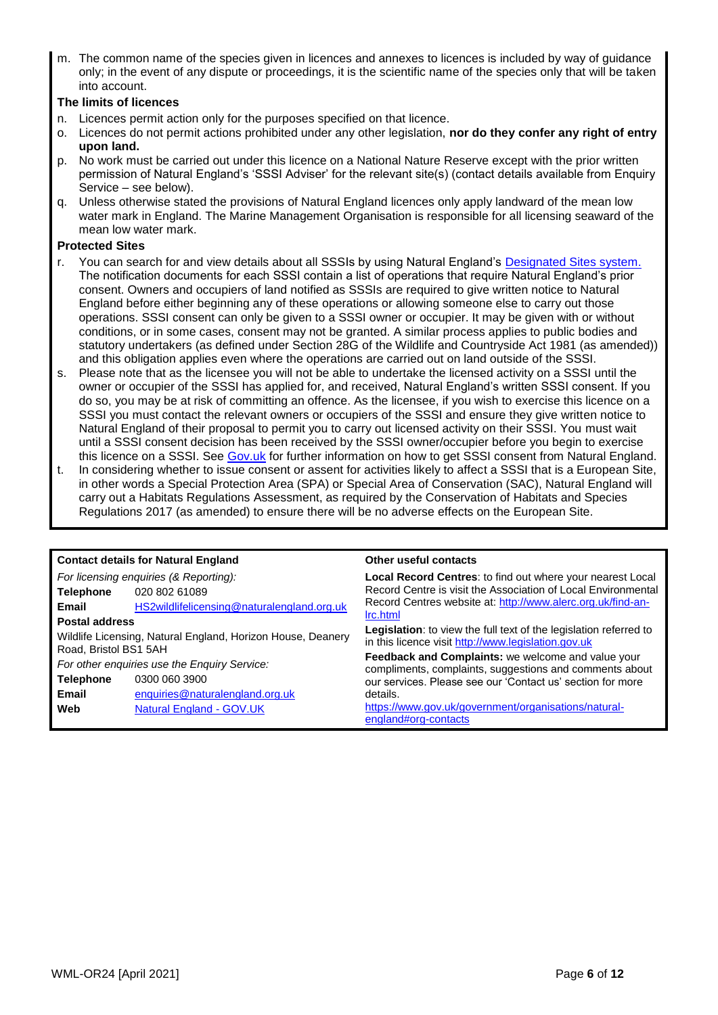m. The common name of the species given in licences and annexes to licences is included by way of guidance only; in the event of any dispute or proceedings, it is the scientific name of the species only that will be taken into account.

#### **The limits of licences**

- n. Licences permit action only for the purposes specified on that licence.
- o. Licences do not permit actions prohibited under any other legislation, **nor do they confer any right of entry upon land.**
- p. No work must be carried out under this licence on a National Nature Reserve except with the prior written permission of Natural England's 'SSSI Adviser' for the relevant site(s) (contact details available from Enquiry Service – see below).
- q. Unless otherwise stated the provisions of Natural England licences only apply landward of the mean low water mark in England. The Marine Management Organisation is responsible for all licensing seaward of the mean low water mark.

#### **Protected Sites**

- r. You can search for and view details about all SSSIs by using Natural England's [Designated Sites system.](https://designatedsites.naturalengland.org.uk/SiteSearch.aspx) The notification documents for each SSSI contain a list of operations that require Natural England's prior consent. Owners and occupiers of land notified as SSSIs are required to give written notice to Natural England before either beginning any of these operations or allowing someone else to carry out those operations. SSSI consent can only be given to a SSSI owner or occupier. It may be given with or without conditions, or in some cases, consent may not be granted. A similar process applies to public bodies and statutory undertakers (as defined under Section 28G of the Wildlife and Countryside Act 1981 (as amended)) and this obligation applies even where the operations are carried out on land outside of the SSSI.
- s. Please note that as the licensee you will not be able to undertake the licensed activity on a SSSI until the owner or occupier of the SSSI has applied for, and received, Natural England's written SSSI consent. If you do so, you may be at risk of committing an offence. As the licensee, if you wish to exercise this licence on a SSSI you must contact the relevant owners or occupiers of the SSSI and ensure they give written notice to Natural England of their proposal to permit you to carry out licensed activity on their SSSI. You must wait until a SSSI consent decision has been received by the SSSI owner/occupier before you begin to exercise this licence on a SSSI. See [Gov.uk](https://www.gov.uk/guidance/protected-areas-sites-of-special-scientific-interest) for further information on how to get SSSI consent from Natural England.
- t. In considering whether to issue consent or assent for activities likely to affect a SSSI that is a European Site, in other words a Special Protection Area (SPA) or Special Area of Conservation (SAC), Natural England will carry out a Habitats Regulations Assessment, as required by the Conservation of Habitats and Species Regulations 2017 (as amended) to ensure there will be no adverse effects on the European Site.

| <b>Contact details for Natural England</b>                                           |                                            | Other useful contacts                                                                                                           |
|--------------------------------------------------------------------------------------|--------------------------------------------|---------------------------------------------------------------------------------------------------------------------------------|
| For licensing enquiries (& Reporting):                                               |                                            | <b>Local Record Centres:</b> to find out where your nearest Local                                                               |
| <b>Telephone</b>                                                                     | 020 802 61089                              | Record Centre is visit the Association of Local Environmental                                                                   |
| Email                                                                                | HS2wildlifelicensing@naturalengland.org.uk | Record Centres website at: http://www.alerc.org.uk/find-an-                                                                     |
| <b>Postal address</b>                                                                |                                            | Irc.html                                                                                                                        |
| Wildlife Licensing, Natural England, Horizon House, Deanery<br>Road, Bristol BS1 5AH |                                            | <b>Legislation:</b> to view the full text of the legislation referred to<br>in this licence visit http://www.legislation.gov.uk |
|                                                                                      |                                            | <b>Feedback and Complaints:</b> we welcome and value your                                                                       |
| For other enquiries use the Enquiry Service:                                         |                                            | compliments, complaints, suggestions and comments about                                                                         |
| <b>Telephone</b>                                                                     | 0300 060 3900                              | our services. Please see our 'Contact us' section for more                                                                      |
| Email                                                                                | enquiries@naturalengland.org.uk            | details.                                                                                                                        |
| Web                                                                                  | <b>Natural England - GOV.UK</b>            | https://www.gov.uk/government/organisations/natural-                                                                            |
|                                                                                      |                                            | england#org-contacts                                                                                                            |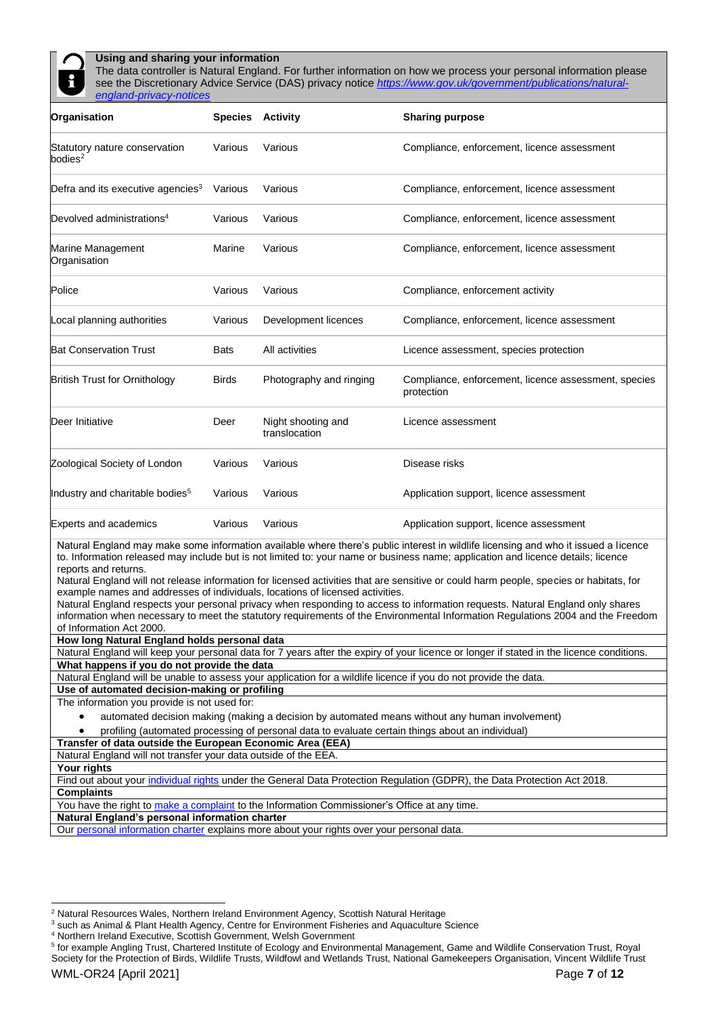

#### **Using and sharing your information**

The data controller is Natural England. For further information on how we process your personal information please see the Discretionary Advice Service (DAS) privacy notice *[https://www.gov.uk/government/publications/natural](https://www.gov.uk/government/publications/natural-england-privacy-notices)[england-privacy-notices](https://www.gov.uk/government/publications/natural-england-privacy-notices)*

| Organisation                                  |              | <b>Species Activity</b>             | <b>Sharing purpose</b>                                             |
|-----------------------------------------------|--------------|-------------------------------------|--------------------------------------------------------------------|
| Statutory nature conservation<br>bodies $2$   | Various      | Various                             | Compliance, enforcement, licence assessment                        |
| Defra and its executive agencies <sup>3</sup> | Various      | Various                             | Compliance, enforcement, licence assessment                        |
| Devolved administrations <sup>4</sup>         | Various      | Various                             | Compliance, enforcement, licence assessment                        |
| Marine Management<br>Organisation             | Marine       | Various                             | Compliance, enforcement, licence assessment                        |
| Police                                        | Various      | Various                             | Compliance, enforcement activity                                   |
| Local planning authorities                    | Various      | Development licences                | Compliance, enforcement, licence assessment                        |
| <b>Bat Conservation Trust</b>                 | <b>Bats</b>  | All activities                      | Licence assessment, species protection                             |
| <b>British Trust for Ornithology</b>          | <b>Birds</b> | Photography and ringing             | Compliance, enforcement, licence assessment, species<br>protection |
| Deer Initiative                               | Deer         | Night shooting and<br>translocation | Licence assessment                                                 |
| Zoological Society of London                  | Various      | Various                             | Disease risks                                                      |
| Industry and charitable bodies <sup>5</sup>   | Various      | Various                             | Application support, licence assessment                            |
| <b>Experts and academics</b>                  | Various      | Various                             | Application support, licence assessment                            |

Natural England may make some information available where there's public interest in wildlife licensing and who it issued a licence to. Information released may include but is not limited to: your name or business name; application and licence details; licence reports and returns.

Natural England will not release information for licensed activities that are sensitive or could harm people, species or habitats, for example names and addresses of individuals, locations of licensed activities.

Natural England respects your personal privacy when responding to access to information requests. Natural England only shares information when necessary to meet the statutory requirements of the Environmental Information Regulations 2004 and the Freedom of Information Act 2000.

**How long Natural England holds personal data**

Natural England will keep your personal data for 7 years after the expiry of your licence or longer if stated in the licence conditions. **What happens if you do not provide the data** 

Natural England will be unable to assess your application for a wildlife licence if you do not provide the data.

**Use of automated decision-making or profiling** 

The information you provide is not used for:

• automated decision making (making a decision by automated means without any human involvement)

• profiling (automated processing of personal data to evaluate certain things about an individual)

**Transfer of data outside the European Economic Area (EEA)** 

Natural England will not transfer your data outside of the EEA.

**Your rights** 

l

Find out about your [individual rights](https://ico.org.uk/for-organisations/guide-to-the-general-data-protection-regulation-gdpr/individual-rights/) under the General Data Protection Regulation (GDPR), the Data Protection Act 2018. **Complaints** 

You have the right to [make a complaint](https://ico.org.uk/make-a-complaint/) to the Information Commissioner's Office at any time.

**Natural England's personal information charter**

Our [personal information charter](https://www.gov.uk/government/organisations/natural-england/about/personal-information-charter) explains more about your rights over your personal data.

<sup>2</sup> Natural Resources Wales, Northern Ireland Environment Agency, Scottish Natural Heritage

<sup>&</sup>lt;sup>3</sup> such as Animal & Plant Health Agency, Centre for Environment Fisheries and Aquaculture Science

<sup>4</sup> Northern Ireland Executive, Scottish Government, Welsh Government

<sup>&</sup>lt;sup>5</sup> for example Angling Trust, Chartered Institute of Ecology and Environmental Management, Game and Wildlife Conservation Trust, Royal Society for the Protection of Birds, Wildlife Trusts, Wildfowl and Wetlands Trust, National Gamekeepers Organisation, Vincent Wildlife Trust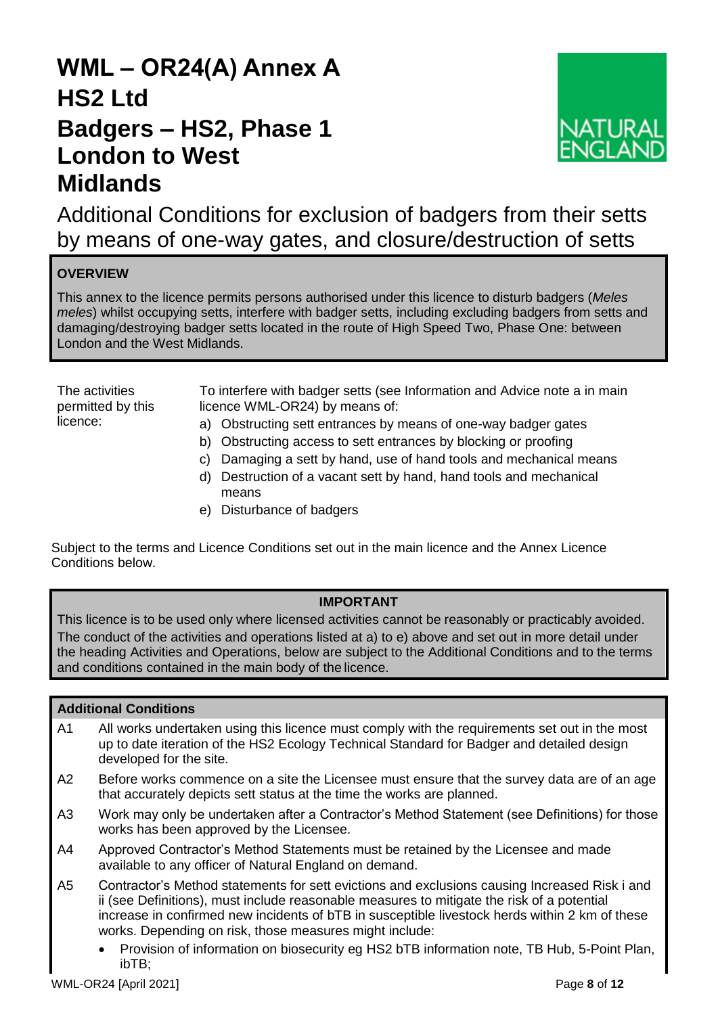# **WML – OR24(A) Annex A HS2 Ltd Badgers – HS2, Phase 1 London to West Midlands**



Additional Conditions for exclusion of badgers from their setts by means of one-way gates, and closure/destruction of setts

## **OVERVIEW**

This annex to the licence permits persons authorised under this licence to disturb badgers (*Meles meles*) whilst occupying setts, interfere with badger setts, including excluding badgers from setts and damaging/destroying badger setts located in the route of High Speed Two, Phase One: between London and the West Midlands.

The activities permitted by this licence:

To interfere with badger setts (see Information and Advice note a in main licence WML-OR24) by means of:

- a) Obstructing sett entrances by means of one-way badger gates
- b) Obstructing access to sett entrances by blocking or proofing
- c) Damaging a sett by hand, use of hand tools and mechanical means
- d) Destruction of a vacant sett by hand, hand tools and mechanical means
- e) Disturbance of badgers

Subject to the terms and Licence Conditions set out in the main licence and the Annex Licence Conditions below.

## **IMPORTANT**

This licence is to be used only where licensed activities cannot be reasonably or practicably avoided. The conduct of the activities and operations listed at a) to e) above and set out in more detail under the heading Activities and Operations, below are subject to the Additional Conditions and to the terms and conditions contained in the main body of the licence.

## **Additional Conditions**

- A1 All works undertaken using this licence must comply with the requirements set out in the most up to date iteration of the HS2 Ecology Technical Standard for Badger and detailed design developed for the site.
- A2 Before works commence on a site the Licensee must ensure that the survey data are of an age that accurately depicts sett status at the time the works are planned.
- A3 Work may only be undertaken after a Contractor's Method Statement (see Definitions) for those works has been approved by the Licensee.
- A4 Approved Contractor's Method Statements must be retained by the Licensee and made available to any officer of Natural England on demand.
- A5 Contractor's Method statements for sett evictions and exclusions causing Increased Risk i and ii (see Definitions), must include reasonable measures to mitigate the risk of a potential increase in confirmed new incidents of bTB in susceptible livestock herds within 2 km of these works. Depending on risk, those measures might include:
	- Provision of information on biosecurity eg HS2 bTB information note, TB Hub, 5-Point Plan, ibTB;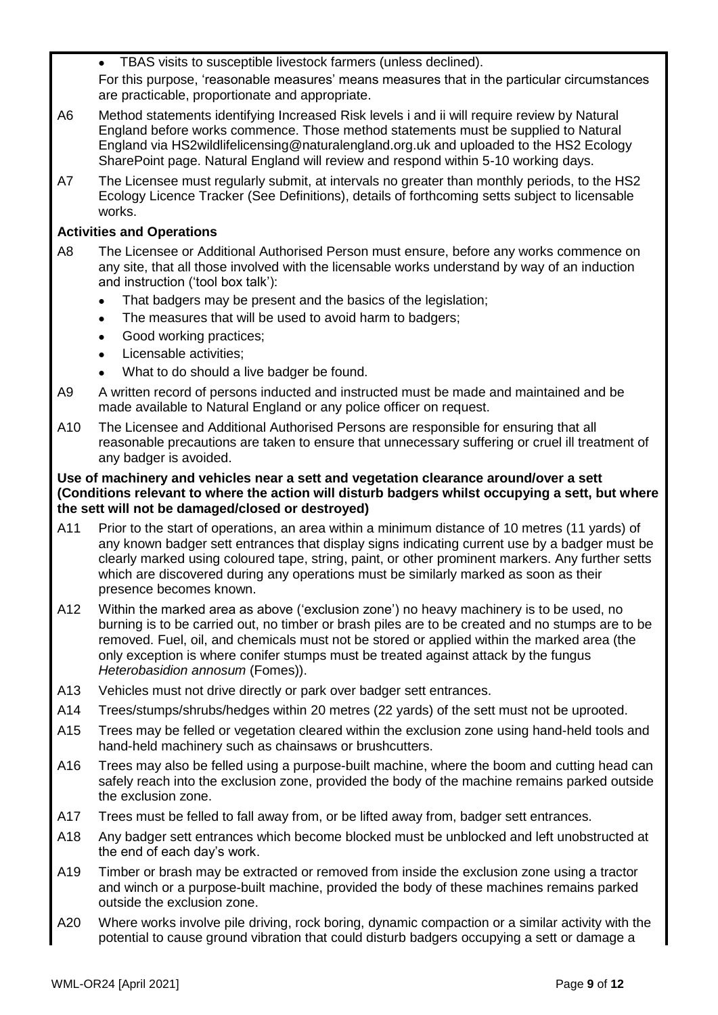• TBAS visits to susceptible livestock farmers (unless declined).

For this purpose, 'reasonable measures' means measures that in the particular circumstances are practicable, proportionate and appropriate.

- A6 Method statements identifying Increased Risk levels i and ii will require review by Natural England before works commence. Those method statements must be supplied to Natural England via HS2wildlifelicensing@naturalengland.org.uk and uploaded to the HS2 Ecology SharePoint page. Natural England will review and respond within 5-10 working days.
- A7 The Licensee must regularly submit, at intervals no greater than monthly periods, to the HS2 Ecology Licence Tracker (See Definitions), details of forthcoming setts subject to licensable works.

## **Activities and Operations**

- A8 The Licensee or Additional Authorised Person must ensure, before any works commence on any site, that all those involved with the licensable works understand by way of an induction and instruction ('tool box talk'):
	- That badgers may be present and the basics of the legislation;
	- The measures that will be used to avoid harm to badgers;
	- Good working practices;
	- Licensable activities:
	- What to do should a live badger be found.
- A9 A written record of persons inducted and instructed must be made and maintained and be made available to Natural England or any police officer on request.
- A10 The Licensee and Additional Authorised Persons are responsible for ensuring that all reasonable precautions are taken to ensure that unnecessary suffering or cruel ill treatment of any badger is avoided.

## **Use of machinery and vehicles near a sett and vegetation clearance around/over a sett (Conditions relevant to where the action will disturb badgers whilst occupying a sett, but where the sett will not be damaged/closed or destroyed)**

- A11 Prior to the start of operations, an area within a minimum distance of 10 metres (11 yards) of any known badger sett entrances that display signs indicating current use by a badger must be clearly marked using coloured tape, string, paint, or other prominent markers. Any further setts which are discovered during any operations must be similarly marked as soon as their presence becomes known.
- A12 Within the marked area as above ('exclusion zone') no heavy machinery is to be used, no burning is to be carried out, no timber or brash piles are to be created and no stumps are to be removed. Fuel, oil, and chemicals must not be stored or applied within the marked area (the only exception is where conifer stumps must be treated against attack by the fungus *Heterobasidion annosum* (Fomes)).
- A13 Vehicles must not drive directly or park over badger sett entrances.
- A14 Trees/stumps/shrubs/hedges within 20 metres (22 yards) of the sett must not be uprooted.
- A15 Trees may be felled or vegetation cleared within the exclusion zone using hand-held tools and hand-held machinery such as chainsaws or brushcutters.
- A16 Trees may also be felled using a purpose-built machine, where the boom and cutting head can safely reach into the exclusion zone, provided the body of the machine remains parked outside the exclusion zone.
- A17 Trees must be felled to fall away from, or be lifted away from, badger sett entrances.
- A18 Any badger sett entrances which become blocked must be unblocked and left unobstructed at the end of each day's work.
- A19 Timber or brash may be extracted or removed from inside the exclusion zone using a tractor and winch or a purpose-built machine, provided the body of these machines remains parked outside the exclusion zone.
- A20 Where works involve pile driving, rock boring, dynamic compaction or a similar activity with the potential to cause ground vibration that could disturb badgers occupying a sett or damage a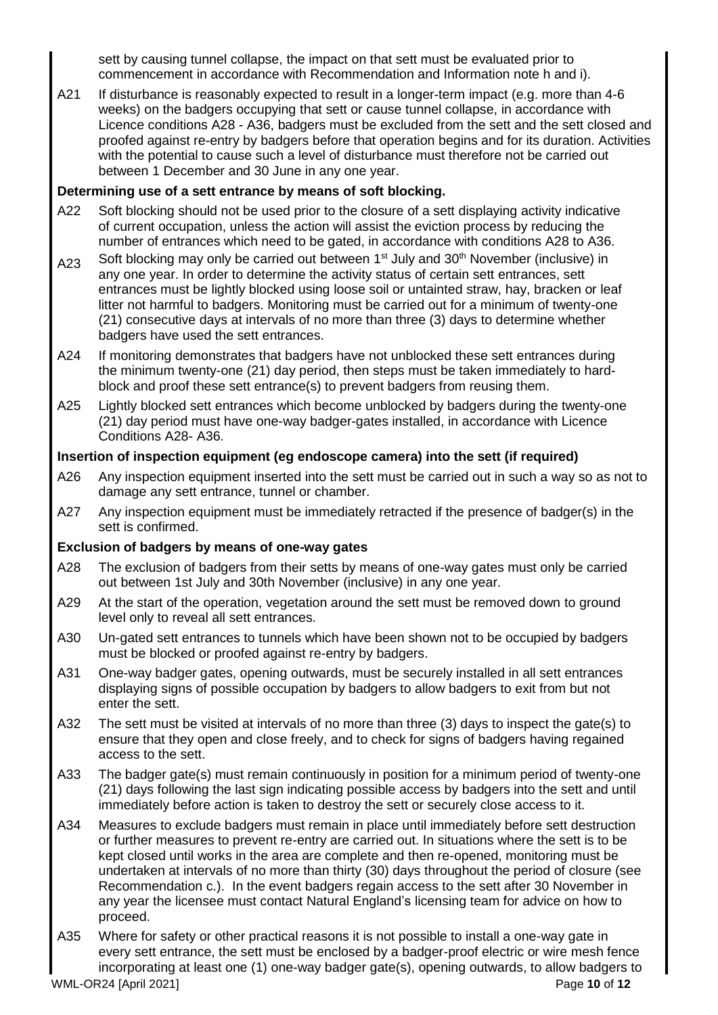sett by causing tunnel collapse, the impact on that sett must be evaluated prior to commencement in accordance with Recommendation and Information note h and i).

A21 If disturbance is reasonably expected to result in a longer-term impact (e.g. more than 4-6 weeks) on the badgers occupying that sett or cause tunnel collapse, in accordance with Licence conditions A28 - A36, badgers must be excluded from the sett and the sett closed and proofed against re-entry by badgers before that operation begins and for its duration. Activities with the potential to cause such a level of disturbance must therefore not be carried out between 1 December and 30 June in any one year.

## **Determining use of a sett entrance by means of soft blocking.**

- A22 Soft blocking should not be used prior to the closure of a sett displaying activity indicative of current occupation, unless the action will assist the eviction process by reducing the number of entrances which need to be gated, in accordance with conditions A28 to A36.
- A23 Soft blocking may only be carried out between 1<sup>st</sup> July and 30<sup>th</sup> November (inclusive) in any one year. In order to determine the activity status of certain sett entrances, sett entrances must be lightly blocked using loose soil or untainted straw, hay, bracken or leaf litter not harmful to badgers. Monitoring must be carried out for a minimum of twenty-one (21) consecutive days at intervals of no more than three (3) days to determine whether badgers have used the sett entrances.
- A24 If monitoring demonstrates that badgers have not unblocked these sett entrances during the minimum twenty-one (21) day period, then steps must be taken immediately to hardblock and proof these sett entrance(s) to prevent badgers from reusing them.
- A25 Lightly blocked sett entrances which become unblocked by badgers during the twenty-one (21) day period must have one-way badger-gates installed, in accordance with Licence Conditions A28- A36.

## **Insertion of inspection equipment (eg endoscope camera) into the sett (if required)**

- A26 Any inspection equipment inserted into the sett must be carried out in such a way so as not to damage any sett entrance, tunnel or chamber.
- A27 Any inspection equipment must be immediately retracted if the presence of badger(s) in the sett is confirmed.

## **Exclusion of badgers by means of one-way gates**

- A28 The exclusion of badgers from their setts by means of one-way gates must only be carried out between 1st July and 30th November (inclusive) in any one year.
- A29 At the start of the operation, vegetation around the sett must be removed down to ground level only to reveal all sett entrances.
- A30 Un-gated sett entrances to tunnels which have been shown not to be occupied by badgers must be blocked or proofed against re-entry by badgers.
- A31 One-way badger gates, opening outwards, must be securely installed in all sett entrances displaying signs of possible occupation by badgers to allow badgers to exit from but not enter the sett.
- A32 The sett must be visited at intervals of no more than three (3) days to inspect the gate(s) to ensure that they open and close freely, and to check for signs of badgers having regained access to the sett.
- A33 The badger gate(s) must remain continuously in position for a minimum period of twenty-one (21) days following the last sign indicating possible access by badgers into the sett and until immediately before action is taken to destroy the sett or securely close access to it.
- A34 Measures to exclude badgers must remain in place until immediately before sett destruction or further measures to prevent re-entry are carried out. In situations where the sett is to be kept closed until works in the area are complete and then re-opened, monitoring must be undertaken at intervals of no more than thirty (30) days throughout the period of closure (see Recommendation c.). In the event badgers regain access to the sett after 30 November in any year the licensee must contact Natural England's licensing team for advice on how to proceed.
- WML-OR24 [April 2021] Page **10** of **12** A35 Where for safety or other practical reasons it is not possible to install a one-way gate in every sett entrance, the sett must be enclosed by a badger-proof electric or wire mesh fence incorporating at least one (1) one-way badger gate(s), opening outwards, to allow badgers to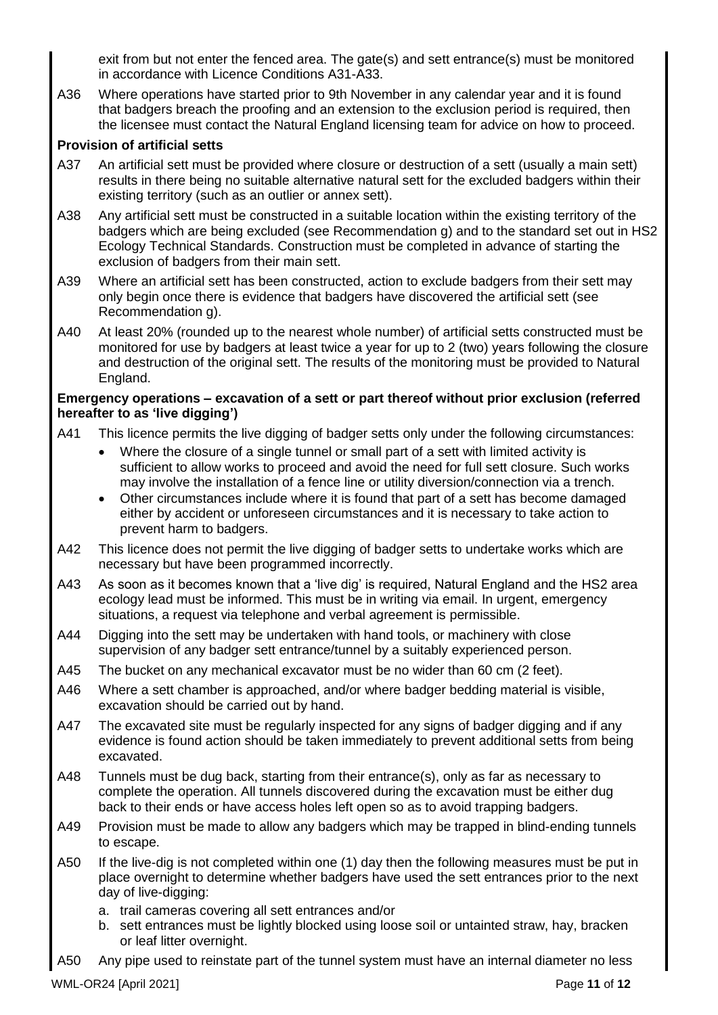exit from but not enter the fenced area. The gate(s) and sett entrance(s) must be monitored in accordance with Licence Conditions A31-A33.

A36 Where operations have started prior to 9th November in any calendar year and it is found that badgers breach the proofing and an extension to the exclusion period is required, then the licensee must contact the Natural England licensing team for advice on how to proceed.

## **Provision of artificial setts**

- A37 An artificial sett must be provided where closure or destruction of a sett (usually a main sett) results in there being no suitable alternative natural sett for the excluded badgers within their existing territory (such as an outlier or annex sett).
- A38 Any artificial sett must be constructed in a suitable location within the existing territory of the badgers which are being excluded (see Recommendation g) and to the standard set out in HS2 Ecology Technical Standards. Construction must be completed in advance of starting the exclusion of badgers from their main sett.
- A39 Where an artificial sett has been constructed, action to exclude badgers from their sett may only begin once there is evidence that badgers have discovered the artificial sett (see Recommendation g).
- A40 At least 20% (rounded up to the nearest whole number) of artificial setts constructed must be monitored for use by badgers at least twice a year for up to 2 (two) years following the closure and destruction of the original sett. The results of the monitoring must be provided to Natural England.

## **Emergency operations – excavation of a sett or part thereof without prior exclusion (referred hereafter to as 'live digging')**

- A41 This licence permits the live digging of badger setts only under the following circumstances:
	- Where the closure of a single tunnel or small part of a sett with limited activity is sufficient to allow works to proceed and avoid the need for full sett closure. Such works may involve the installation of a fence line or utility diversion/connection via a trench.
	- Other circumstances include where it is found that part of a sett has become damaged either by accident or unforeseen circumstances and it is necessary to take action to prevent harm to badgers.
- A42 This licence does not permit the live digging of badger setts to undertake works which are necessary but have been programmed incorrectly.
- A43 As soon as it becomes known that a 'live dig' is required, Natural England and the HS2 area ecology lead must be informed. This must be in writing via email. In urgent, emergency situations, a request via telephone and verbal agreement is permissible.
- A44 Digging into the sett may be undertaken with hand tools, or machinery with close supervision of any badger sett entrance/tunnel by a suitably experienced person.
- A45 The bucket on any mechanical excavator must be no wider than 60 cm (2 feet).
- A46 Where a sett chamber is approached, and/or where badger bedding material is visible, excavation should be carried out by hand.
- A47 The excavated site must be regularly inspected for any signs of badger digging and if any evidence is found action should be taken immediately to prevent additional setts from being excavated.
- A48 Tunnels must be dug back, starting from their entrance(s), only as far as necessary to complete the operation. All tunnels discovered during the excavation must be either dug back to their ends or have access holes left open so as to avoid trapping badgers.
- A49 Provision must be made to allow any badgers which may be trapped in blind-ending tunnels to escape.
- A50 If the live-dig is not completed within one (1) day then the following measures must be put in place overnight to determine whether badgers have used the sett entrances prior to the next day of live-digging:
	- a. trail cameras covering all sett entrances and/or
	- b. sett entrances must be lightly blocked using loose soil or untainted straw, hay, bracken or leaf litter overnight.
- A50 Any pipe used to reinstate part of the tunnel system must have an internal diameter no less